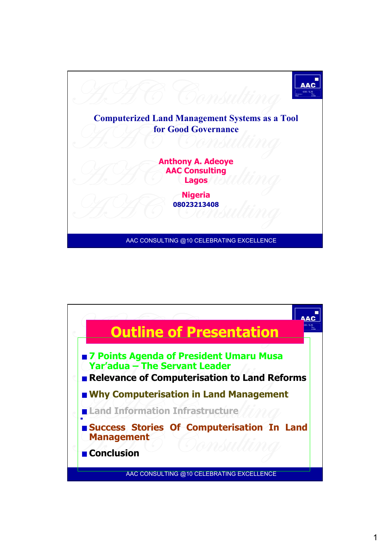

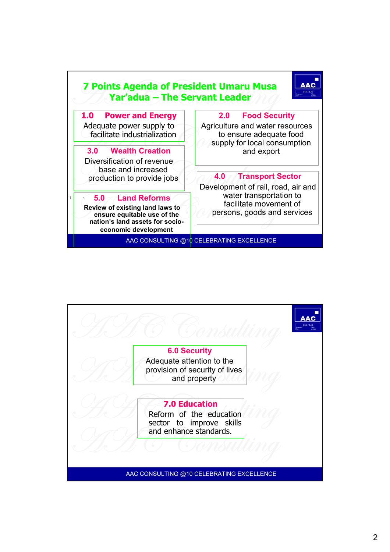

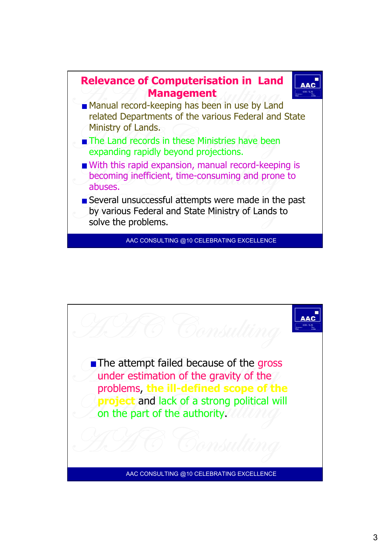

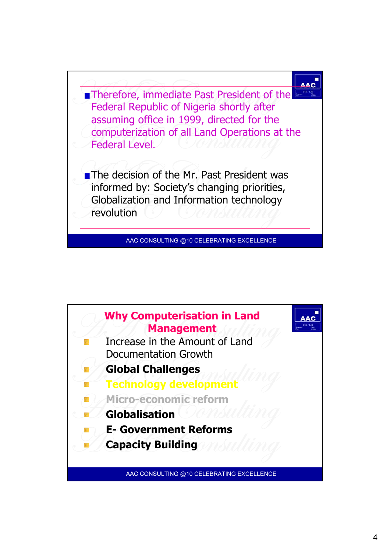

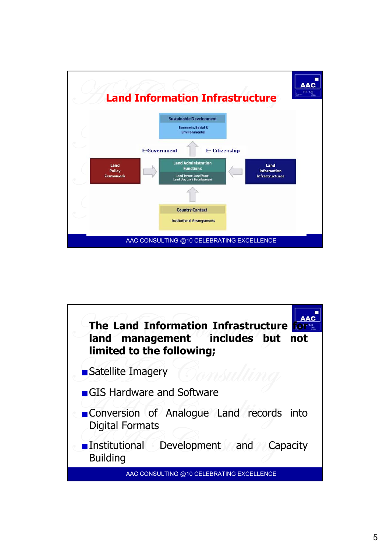

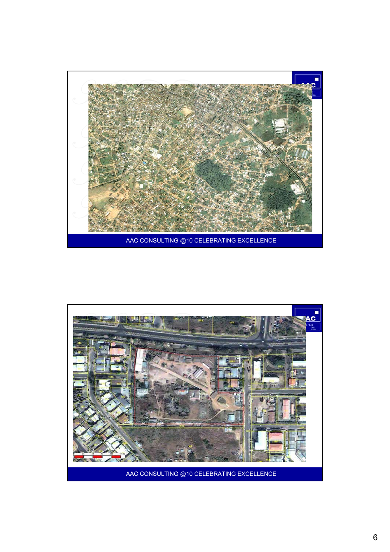

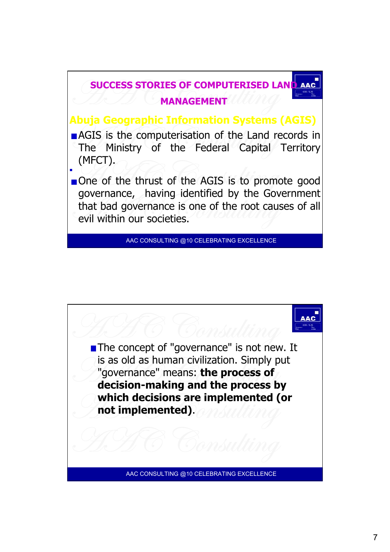

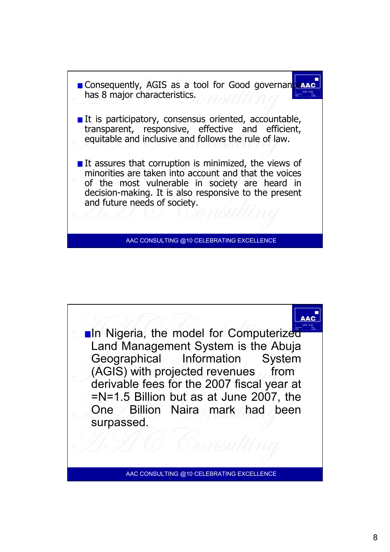

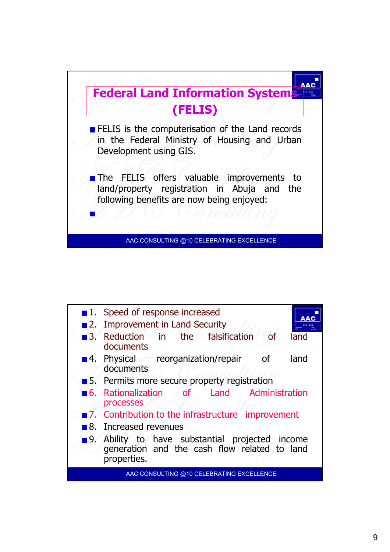

|     | 1. Speed of response increased<br>2. Improvement in Land Security                                           |
|-----|-------------------------------------------------------------------------------------------------------------|
|     | 3. Reduction in the falsification<br>land<br>documents                                                      |
|     | 4. Physical reorganization/repair<br>land<br><b>of</b><br>documents                                         |
|     | ■ 5. Permits more secure property registration                                                              |
|     | 6. Rationalization of Land Administration<br>processes                                                      |
|     | ■ 7. Contribution to the infrastructure improvement                                                         |
|     | 8. Increased revenues                                                                                       |
| ■9. | Ability to have substantial projected income<br>generation and the cash flow related to land<br>properties. |
|     | AAC CONSULTING @10 CELEBRATING EXCELLENCE                                                                   |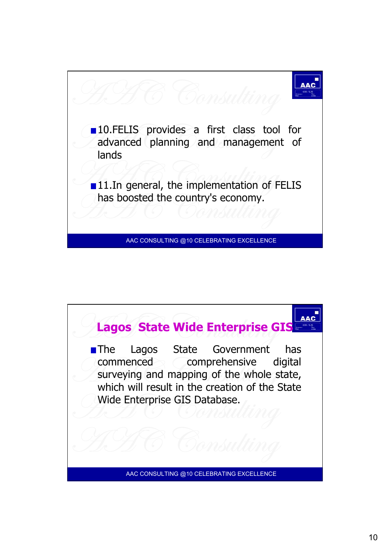

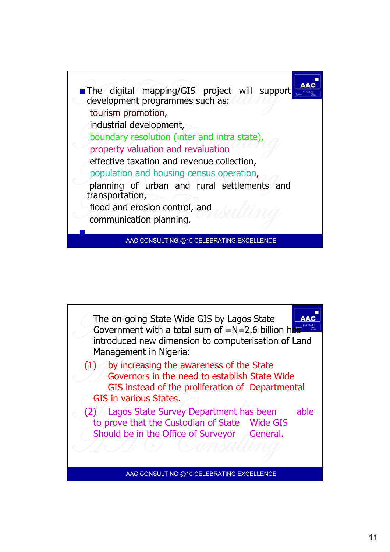

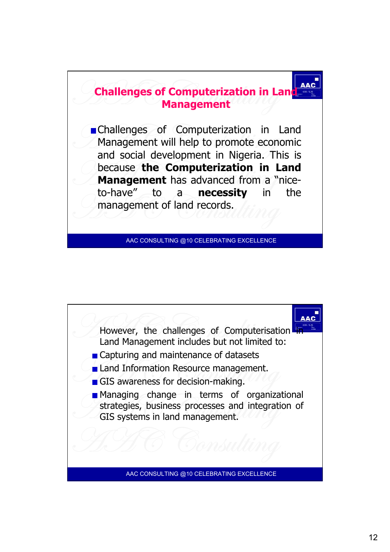

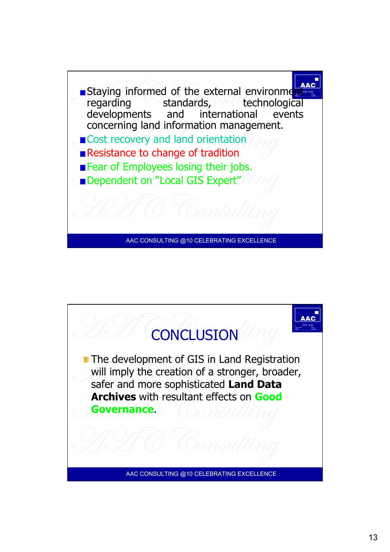